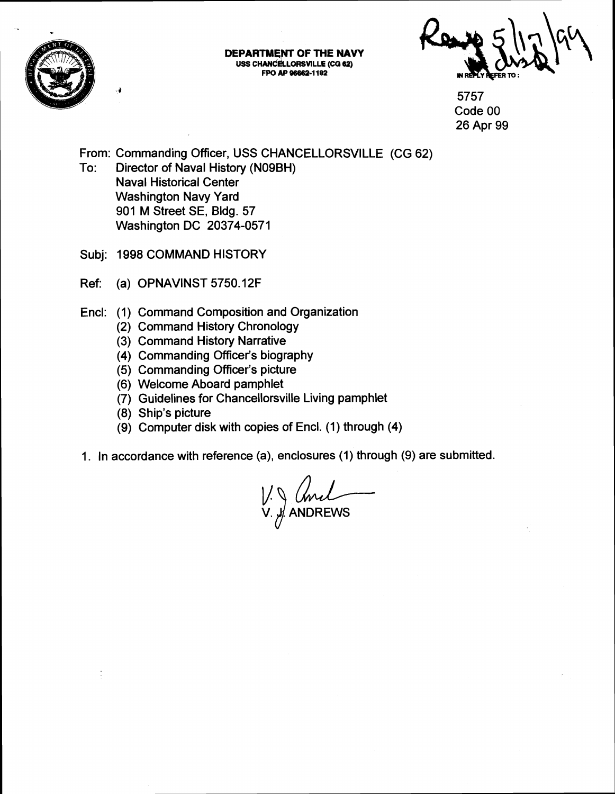

**DEPARTMENT OF THE NAV USS CHANCELLORSVILLE (CG 62) FPO AP 96662-1182** 

5757 Code 00 26 Apr 99

From: Commanding Officer, USS CHANCELLORSVILLE (CG 62)

- To: Director of Naval History (NO9BH) Naval Historical Center Washington Navy Yard 901 M Street SE, Bldg. 57 Washington DC 20374-0571
- Subj: 1998 COMMAND HISTORY
- Ref: (a) OPNAVINST 5750.12F
- Encl: (1) Command Composition and Organization
	- (2) Command History Chronology
	- (3) Command History Narrative
	- (4) Commanding Officer's biography
	- (5) Commanding Officer's picture
	- (6) Welcome Aboard pamphlet
	- (7) Guidelines for Chancellorsville Living pamphlet
	- (8) Ship's picture
	- (9) Computer disk with copies of Encl. (1) through (4)
- 1. In accordance with reference (a), enclosures (1) through (9) are submitted.

V. *...*/ ANDREWS whlet<br>
lorsville Living pamphlet<br>
vies of Encl. (1) through (4)<br>
a), enclosures (1) through (9) are submit<br>  $\bigcup_{n=1}^{\infty} \bigcup_{n=1}^{\infty} \bigcup_{n=1}^{\infty} \bigcup_{n=1}^{\infty}$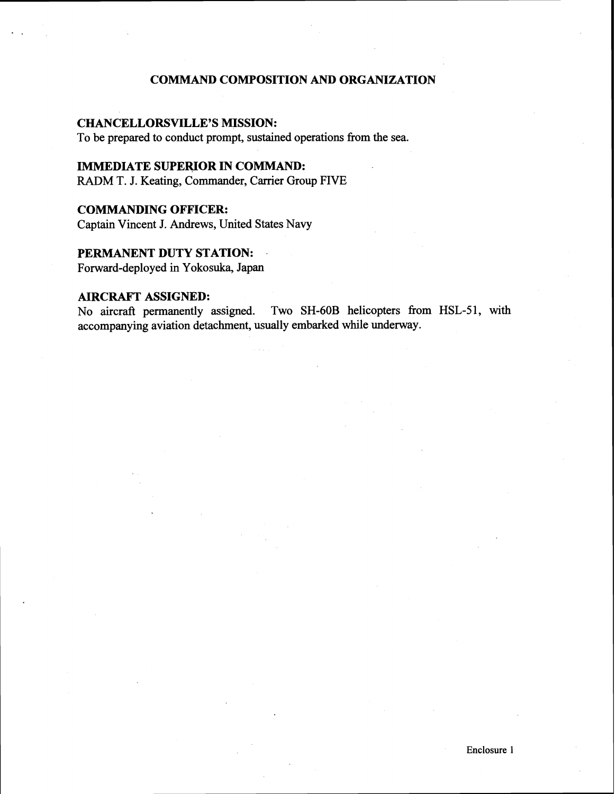# **COMMAND COMPOSITION AND ORGANIZATION**

## **CHANCELLORSVILLE'S MISSION:**

To be prepared to conduct prompt, sustained operations fiom the sea.

# **IMMEDIATE SUPERIOR IN COMMAND:**

**RADM** T. J. Keating, Commander, Carrier Group FIVE

## **COMMANDING OFFICER:**

Captain Vincent **J.** Andrews, United States Navy

## **PERMANENT DUTY STATION:** .

Forward-deployed in Yokosuka, Japan

**AIRCRAFT ASSIGNED:**<br>No aircraft permanently assigned. Two SH-60B helicopters from HSL-51, with accompanying aviation detachment, usually embarked while underway.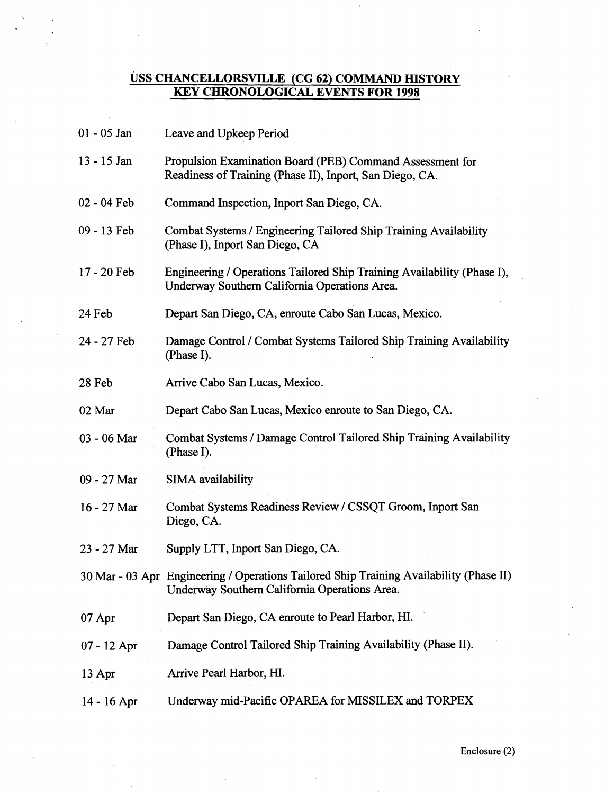# **USS CHANCELLORSVILLE (CG 62) COMMAND HISTORY KEY CHRONOLOGICAL EVENTS FOR 1998**

| 01 - 05 Jan   | Leave and Upkeep Period                                                                                                                  |
|---------------|------------------------------------------------------------------------------------------------------------------------------------------|
| 13 - 15 Jan   | Propulsion Examination Board (PEB) Command Assessment for<br>Readiness of Training (Phase II), Inport, San Diego, CA.                    |
| 02 - 04 Feb   | Command Inspection, Inport San Diego, CA.                                                                                                |
| 09 - 13 Feb   | Combat Systems / Engineering Tailored Ship Training Availability<br>(Phase I), Inport San Diego, CA                                      |
| 17 - 20 Feb   | Engineering / Operations Tailored Ship Training Availability (Phase I),<br>Underway Southern California Operations Area.                 |
| 24 Feb        | Depart San Diego, CA, enroute Cabo San Lucas, Mexico.                                                                                    |
| 24 - 27 Feb   | Damage Control / Combat Systems Tailored Ship Training Availability<br>(Phase I).                                                        |
| 28 Feb        | Arrive Cabo San Lucas, Mexico.                                                                                                           |
| 02 Mar        | Depart Cabo San Lucas, Mexico enroute to San Diego, CA.                                                                                  |
| 03 - 06 Mar   | Combat Systems / Damage Control Tailored Ship Training Availability<br>(Phase I).                                                        |
| 09 - 27 Mar   | SIMA availability                                                                                                                        |
| 16 - 27 Mar   | Combat Systems Readiness Review / CSSQT Groom, Inport San<br>Diego, CA.                                                                  |
| 23 - 27 Mar   | Supply LTT, Inport San Diego, CA.                                                                                                        |
|               | 30 Mar - 03 Apr Engineering / Operations Tailored Ship Training Availability (Phase II)<br>Underway Southern California Operations Area. |
| 07 Apr        | Depart San Diego, CA enroute to Pearl Harbor, HI.                                                                                        |
| $07 - 12$ Apr | Damage Control Tailored Ship Training Availability (Phase II).                                                                           |
| 13 Apr        | Arrive Pearl Harbor, HI.                                                                                                                 |
| 14 - 16 Apr   | Underway mid-Pacific OPAREA for MISSILEX and TORPEX                                                                                      |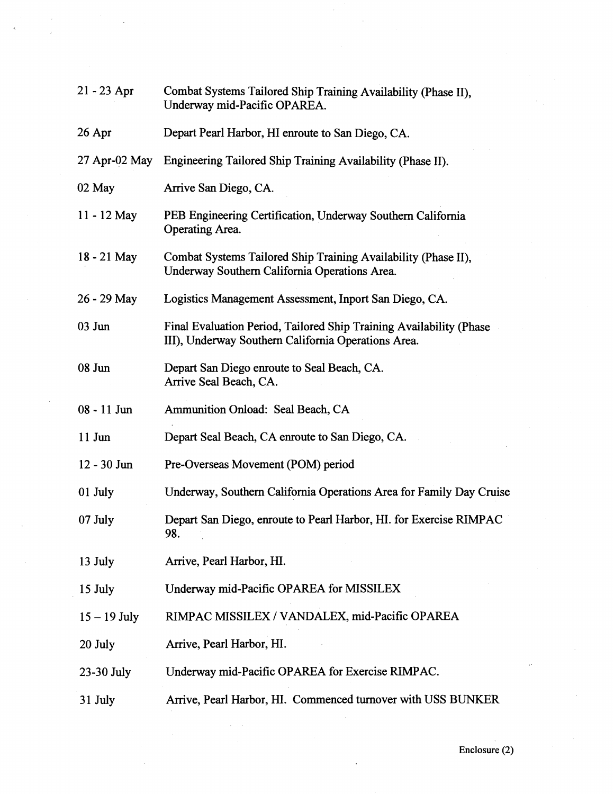| $21 - 23$ Apr   | Combat Systems Tailored Ship Training Availability (Phase II),<br>Underway mid-Pacific OPAREA.                             |
|-----------------|----------------------------------------------------------------------------------------------------------------------------|
| $26$ Apr        | Depart Pearl Harbor, HI enroute to San Diego, CA.                                                                          |
| $27$ Apr-02 May | Engineering Tailored Ship Training Availability (Phase II).                                                                |
| 02 May          | Arrive San Diego, CA.                                                                                                      |
| $11 - 12$ May   | PEB Engineering Certification, Underway Southern California<br>Operating Area.                                             |
| 18 - 21 May     | Combat Systems Tailored Ship Training Availability (Phase II),<br>Underway Southern California Operations Area.            |
| 26 - 29 May     | Logistics Management Assessment, Inport San Diego, CA.                                                                     |
| $03$ Jun        | Final Evaluation Period, Tailored Ship Training Availability (Phase<br>III), Underway Southern California Operations Area. |
| $08$ Jun        | Depart San Diego enroute to Seal Beach, CA.<br>Arrive Seal Beach, CA.                                                      |
| $08 - 11$ Jun   | Ammunition Onload: Seal Beach, CA                                                                                          |
| $11$ Jun        | Depart Seal Beach, CA enroute to San Diego, CA.                                                                            |
| $12 - 30$ Jun   | Pre-Overseas Movement (POM) period                                                                                         |
| 01 July         | Underway, Southern California Operations Area for Family Day Cruise                                                        |
| 07 July         | Depart San Diego, enroute to Pearl Harbor, HI. for Exercise RIMPAC<br>98.                                                  |
| 13 July         | Arrive, Pearl Harbor, HI.                                                                                                  |
| 15 July         | Underway mid-Pacific OPAREA for MISSILEX                                                                                   |
| $15 - 19$ July  | RIMPAC MISSILEX / VANDALEX, mid-Pacific OPAREA                                                                             |
| 20 July         | Arrive, Pearl Harbor, HI.                                                                                                  |
| 23-30 July      | Underway mid-Pacific OPAREA for Exercise RIMPAC.                                                                           |
| 31 July         | Arrive, Pearl Harbor, HI. Commenced turnover with USS BUNKER                                                               |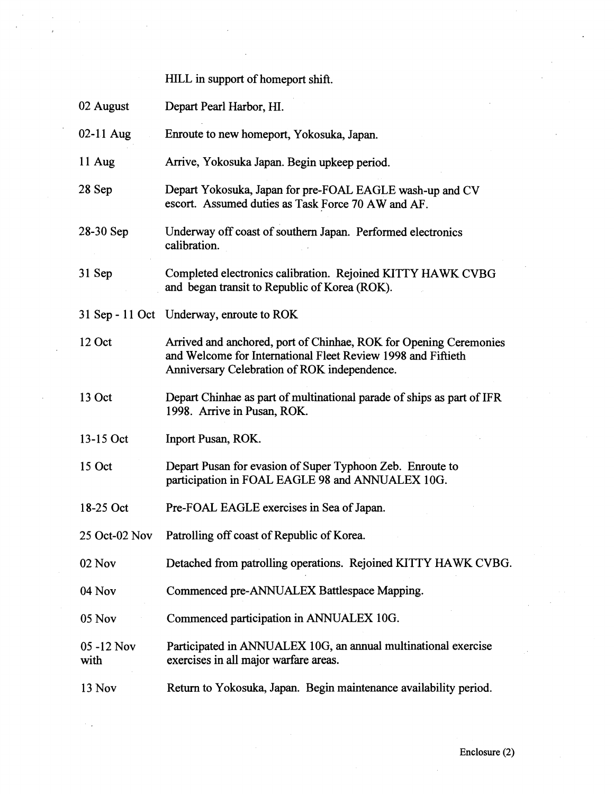|                    | HILL in support of homeport shift.                                                                                                                                                |
|--------------------|-----------------------------------------------------------------------------------------------------------------------------------------------------------------------------------|
| 02 August          | Depart Pearl Harbor, HI.                                                                                                                                                          |
| $02-11$ Aug        | Enroute to new homeport, Yokosuka, Japan.                                                                                                                                         |
| 11 Aug             | Arrive, Yokosuka Japan. Begin upkeep period.                                                                                                                                      |
| 28 Sep             | Depart Yokosuka, Japan for pre-FOAL EAGLE wash-up and CV<br>escort. Assumed duties as Task Force 70 AW and AF.                                                                    |
| 28-30 Sep          | Underway off coast of southern Japan. Performed electronics<br>calibration.                                                                                                       |
| 31 Sep             | Completed electronics calibration. Rejoined KITTY HAWK CVBG<br>and began transit to Republic of Korea (ROK).                                                                      |
|                    | 31 Sep - 11 Oct Underway, enroute to ROK                                                                                                                                          |
| 12 Oct             | Arrived and anchored, port of Chinhae, ROK for Opening Ceremonies<br>and Welcome for International Fleet Review 1998 and Fiftieth<br>Anniversary Celebration of ROK independence. |
| 13 Oct             | Depart Chinhae as part of multinational parade of ships as part of IFR<br>1998. Arrive in Pusan, ROK.                                                                             |
| 13-15 Oct          | Inport Pusan, ROK.                                                                                                                                                                |
| 15 Oct             | Depart Pusan for evasion of Super Typhoon Zeb. Enroute to<br>participation in FOAL EAGLE 98 and ANNUALEX 10G.                                                                     |
| 18-25 Oct          | Pre-FOAL EAGLE exercises in Sea of Japan.                                                                                                                                         |
| 25 Oct-02 Nov      | Patrolling off coast of Republic of Korea.                                                                                                                                        |
| 02 Nov             | Detached from patrolling operations. Rejoined KITTY HAWK CVBG.                                                                                                                    |
| 04 Nov             | Commenced pre-ANNUALEX Battlespace Mapping.                                                                                                                                       |
| 05 Nov             | Commenced participation in ANNUALEX 10G.                                                                                                                                          |
| 05 -12 Nov<br>with | Participated in ANNUALEX 10G, an annual multinational exercise<br>exercises in all major warfare areas.                                                                           |
| 13 Nov             | Return to Yokosuka, Japan. Begin maintenance availability period.                                                                                                                 |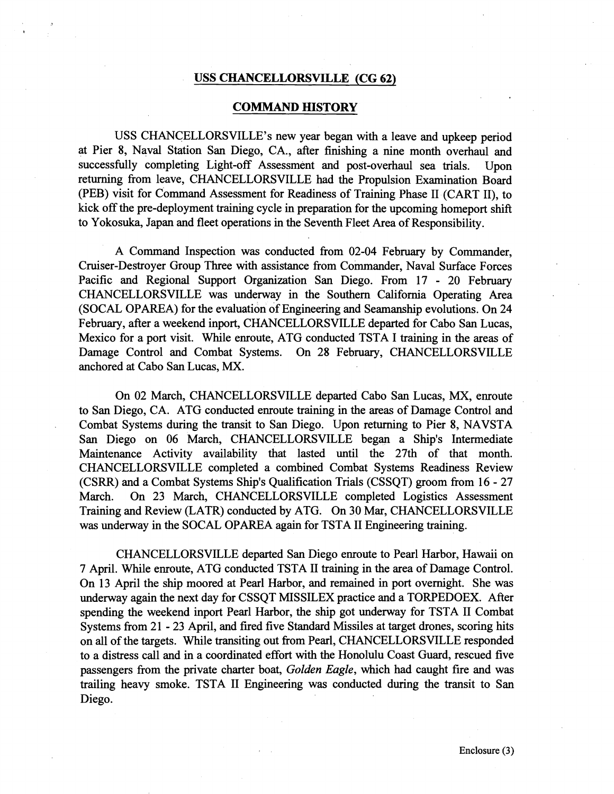### **USS CHANCELLORSVILLE (CG 62)**

### **COMMAND HISTORY**

USS CHANCELLORSVILLE's new year began with a leave and upkeep period at Pier 8, Naval Station San Diego, CA., after finishing a nine month overhaul and successfully completing Light-off Assessment and post-overhaul sea trials. Upon returning from leave, CHANCELLORSVILLE had the Propulsion Examination Board (PEB) visit for Command Assessment for Readiness of Training Phase I1 (CART 11), to kick off the pre-deployment training cycle in preparation for the upcoming homeport shift to Yokosuka, Japan and fleet operations in the Seventh Fleet Area of Responsibility.

A Command Inspection was conducted from 02-04 February by Commander, Cruiser-Destroyer Group Three with assistance fiom Commander, Naval Surface Forces Pacific and Regional Support Organization San Diego. From 17 - 20 February CHANCELLORSVILLE was underway in the Southern California Operating Area (SOCAL OPAREA) for the evaluation of Engineering and Seamanship evolutions. On 24 February, after a weekend inport, CHANCELLORSVILLE departed for Cabo San Lucas, Mexico for a port visit. While enroute, ATG conducted TSTA I training in the areas of Damage Control and Combat Systems. On 28 February, CHANCELLORSVILLE anchored at Cabo San Lucas, **MX.** 

On 02 March, CHANCELLORSVILLE departed Cabo San Lucas, MX, enroute to San Diego, CA. ATG conducted enroute training in the areas of Damage Control and Combat Systems during the transit to San Diego. Upon returning to Pier 8, NAVSTA San Diego on 06 March, CHANCELLORSVILLE began a Ship's Intermediate Maintenance Activity availability that lasted until the 27th of that month. CHANCELLORSVILLE completed a combined Combat Systems Readiness Review (CSRR) and a Combat Systems Ship's Qualification Trials (CSSQT) groom from 16 - 27 March. On 23 March, CHANCELLORSVILLE completed Logistics Assessment Training and Review (LATR) conducted by ATG. On 30 Mar, CHANCELLORSVILLE was underway in the SOCAL OPAREA again for TSTA I1 Engineering training.

CHANCELLORSVILLE departed San Diego enroute to Pearl Harbor, Hawaii on 7 April. While enroute, ATG conducted TSTA I1 training in the area of Damage Control. On 13 April the ship moored at Pearl Harbor, and remained in port overnight. She was underway again the next day for CSSQT MISSILEX practice and a TORPEDOEX. After spending the weekend inport Pearl Harbor, the ship got underway for TSTA I1 Combat Systems from 21 - 23 April, and fired five Standard Missiles at target drones, scoring hits on all of the targets. While transiting out fiom Pearl, CHANCELLORSVILLE responded to a distress call and in a coordinated effort with the Honolulu Coast Guard, rescued five passengers fiom the private charter boat, Golden Eagle, which had caught fire and was trailing heavy smoke. TSTA I1 Engineering was conducted during the transit to San Diego.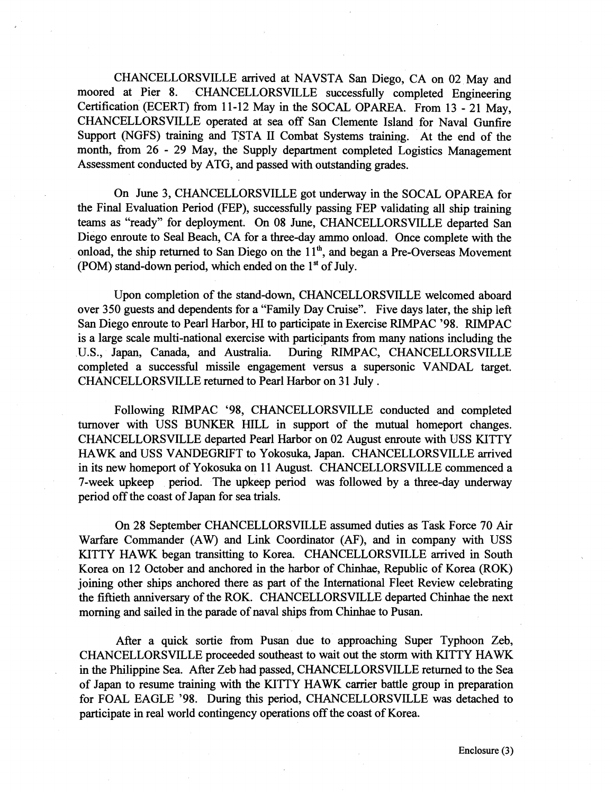CHANCELLORSVILLE arrived at NAVSTA San Diego, CA on 02 May and moored at Pier 8. CHANCELLORSVILLE successfully completed Engineering Certification (ECERT) from 11-12 May in the SOCAL OPAREA. From 13 - 21 May, CHANCELLORSVILLE operated at sea off San Clemente Island for Naval Gunfire Support (NGFS) training and TSTA I1 Combat Systems training. At the end of the month, from 26 - 29 May, the Supply department completed Logistics Management Assessment conducted by ATG, and passed with outstanding grades.

On June 3, CHANCELLORSVILLE got underway in the SOCAL OPAREA for the Final Evaluation Period (FEP), successfully passing FEP validating all ship training teams as "ready" for deployment. On 08 June, CHANCELLORSVILLE departed San Diego enroute to Seal Beach, CA for a three-day ammo onload. Once complete with the onload, the ship returned to San Diego on the 11<sup>th</sup>, and began a Pre-Overseas Movement (POM) stand-down period, which ended on the  $1<sup>st</sup>$  of July.

Upon completion of the stand-down, CHANCELLORSVILLE welcomed aboard over 350 guests and dependents for a "Family Day Cruise". Five days later, the ship left San Diego enroute to Pearl Harbor, HI to participate in Exercise RIMPAC '98. RIMPAC is a large scale multi-national exercise with participants from many nations including the U.S., Japan, Canada, and Australia. During RIMPAC, CHANCELLORSVILLE completed a successful missile engagement versus a supersonic VANDAL target. CHANCELLORSVILLE returned to Pearl Harbor on 31 July.

Following RIMPAC '98, CHANCELLORSVILLE conducted and completed turnover with USS BUNKER HILL in support of the mutual homeport changes. CHANCELLORSVILLE departed Pearl Harbor on 02 August enroute with USS KITTY HAWK and USS VANDEGRIFT to Yokosuka, Japan. CHANCELLORSVILLE arrived in its new homeport of Yokosuka on 11 August. CHANCELLORSVILLE commenced a 7-week upkeep period. The upkeep period was followed by a three-day underway period off the coast of Japan for sea trials.

On 28 September CHANCELLORSVILLE assumed duties as Task Force 70 Air Warfare Commander (AW) and Link Coordinator (AF), and in company with USS KITTY HAWK began transitting to Korea. CHANCELLORSVILLE arrived in South Korea on 12 October and anchored in the harbor of Chinhae, Republic of Korea (ROK) joining other ships anchored there as part of the International Fleet Review celebrating the fiftieth anniversary of the ROK. CHANCELLORSVILLE departed Chinhae the next morning and sailed in the parade of naval ships fiom Chinhae to Pusan.

After a quick sortie fiom Pusan due to approaching Super Typhoon Zeb, CHANCELLORSVILLE proceeded southeast to wait out the storm with KITTY HAWK in the Philippine Sea. After Zeb had passed, CHANCELLORSVILLE returned to the Sea of Japan to resume training with the KITTY HAWK carrier battle group in preparation for FOAL EAGLE '98. During this period, CHANCELLORSVILLE was detached to participate in real world contingency operations off the coast of Korea.